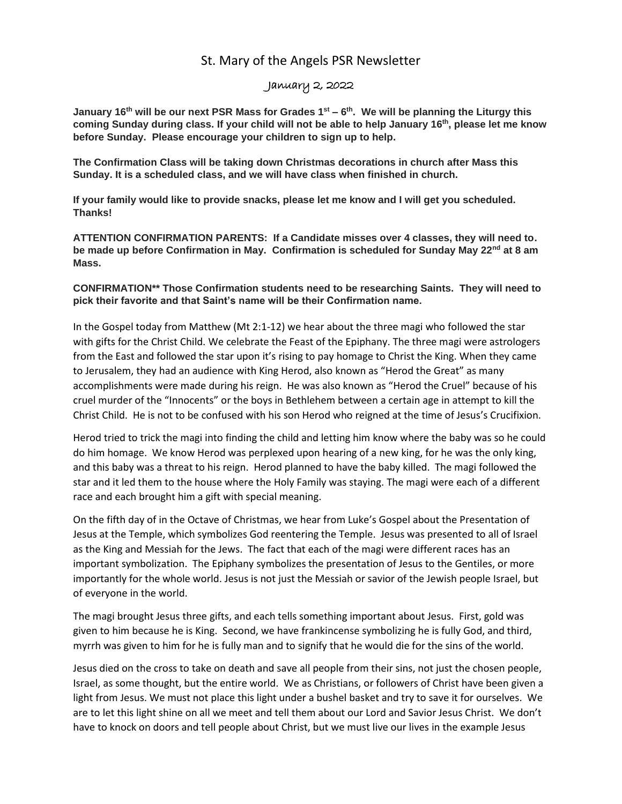## St. Mary of the Angels PSR Newsletter

## January 2, 2022

**January 16th will be our next PSR Mass for Grades 1st – 6 th . We will be planning the Liturgy this coming Sunday during class. If your child will not be able to help January 16th , please let me know before Sunday. Please encourage your children to sign up to help.**

**The Confirmation Class will be taking down Christmas decorations in church after Mass this Sunday. It is a scheduled class, and we will have class when finished in church.**

**If your family would like to provide snacks, please let me know and I will get you scheduled. Thanks!**

**ATTENTION CONFIRMATION PARENTS: If a Candidate misses over 4 classes, they will need to. be made up before Confirmation in May. Confirmation is scheduled for Sunday May 22nd at 8 am Mass.** 

**CONFIRMATION\*\* Those Confirmation students need to be researching Saints. They will need to pick their favorite and that Saint's name will be their Confirmation name.**

In the Gospel today from Matthew (Mt 2:1-12) we hear about the three magi who followed the star with gifts for the Christ Child. We celebrate the Feast of the Epiphany. The three magi were astrologers from the East and followed the star upon it's rising to pay homage to Christ the King. When they came to Jerusalem, they had an audience with King Herod, also known as "Herod the Great" as many accomplishments were made during his reign. He was also known as "Herod the Cruel" because of his cruel murder of the "Innocents" or the boys in Bethlehem between a certain age in attempt to kill the Christ Child. He is not to be confused with his son Herod who reigned at the time of Jesus's Crucifixion.

Herod tried to trick the magi into finding the child and letting him know where the baby was so he could do him homage. We know Herod was perplexed upon hearing of a new king, for he was the only king, and this baby was a threat to his reign. Herod planned to have the baby killed. The magi followed the star and it led them to the house where the Holy Family was staying. The magi were each of a different race and each brought him a gift with special meaning.

On the fifth day of in the Octave of Christmas, we hear from Luke's Gospel about the Presentation of Jesus at the Temple, which symbolizes God reentering the Temple. Jesus was presented to all of Israel as the King and Messiah for the Jews. The fact that each of the magi were different races has an important symbolization. The Epiphany symbolizes the presentation of Jesus to the Gentiles, or more importantly for the whole world. Jesus is not just the Messiah or savior of the Jewish people Israel, but of everyone in the world.

The magi brought Jesus three gifts, and each tells something important about Jesus. First, gold was given to him because he is King. Second, we have frankincense symbolizing he is fully God, and third, myrrh was given to him for he is fully man and to signify that he would die for the sins of the world.

Jesus died on the cross to take on death and save all people from their sins, not just the chosen people, Israel, as some thought, but the entire world. We as Christians, or followers of Christ have been given a light from Jesus. We must not place this light under a bushel basket and try to save it for ourselves. We are to let this light shine on all we meet and tell them about our Lord and Savior Jesus Christ. We don't have to knock on doors and tell people about Christ, but we must live our lives in the example Jesus